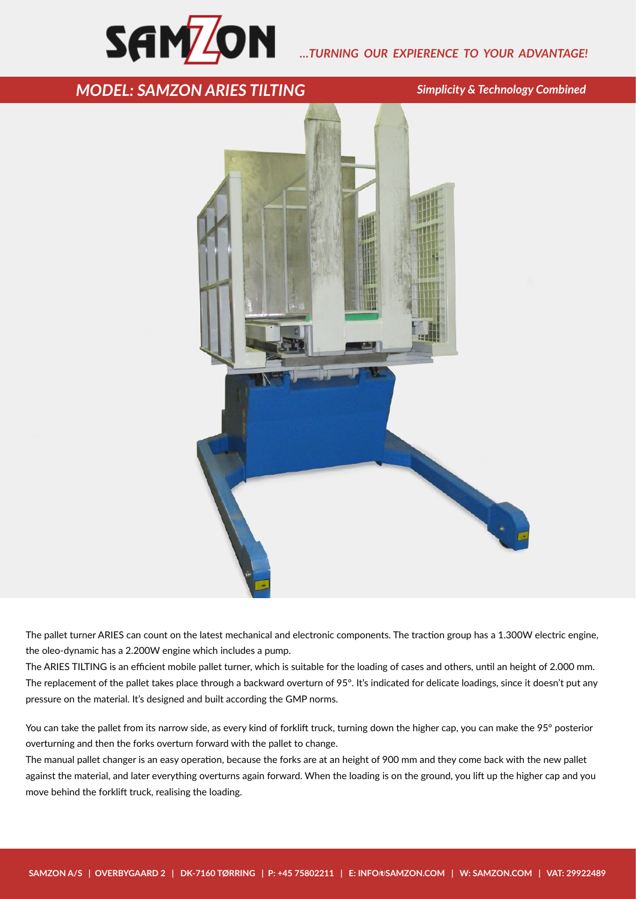

## *…TURNING OUR EXPIERENCE TO YOUR ADVANTAGE!*

## **MODEL: SAMZON ARIES TILTING** Simplicity & Technology Combined



The pallet turner ARIES can count on the latest mechanical and electronic components. The traction group has a 1.300W electric engine, the oleo-dynamic has a 2.200W engine which includes a pump.

The ARIES TILTING is an efficient mobile pallet turner, which is suitable for the loading of cases and others, until an height of 2.000 mm. The replacement of the pallet takes place through a backward overturn of 95°. It's indicated for delicate loadings, since it doesn't put any pressure on the material. It's designed and built according the GMP norms.

You can take the pallet from its narrow side, as every kind of forklift truck, turning down the higher cap, you can make the 95° posterior overturning and then the forks overturn forward with the pallet to change.

The manual pallet changer is an easy operation, because the forks are at an height of 900 mm and they come back with the new pallet against the material, and later everything overturns again forward. When the loading is on the ground, you lift up the higher cap and you move behind the forklift truck, realising the loading.